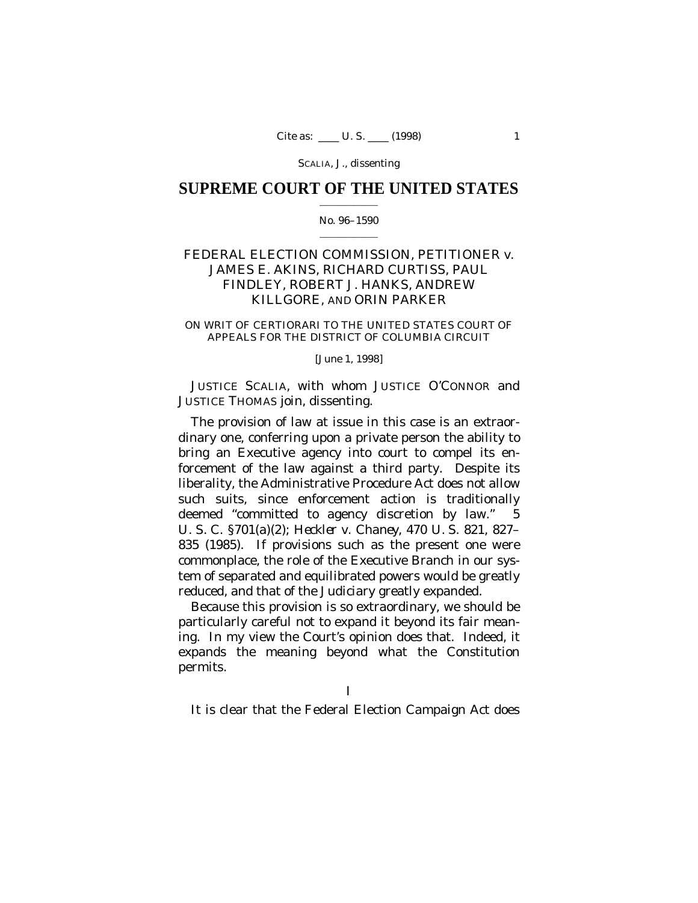## **SUPREME COURT OF THE UNITED STATES**  $\mathcal{L}=\mathcal{L}^{\mathcal{L}}$  , where  $\mathcal{L}^{\mathcal{L}}$

### No. 96–1590  $\mathcal{L}=\mathcal{L}^{\mathcal{L}}$  , where  $\mathcal{L}^{\mathcal{L}}$

# FEDERAL ELECTION COMMISSION, PETITIONER *v.* JAMES E. AKINS, RICHARD CURTISS, PAUL FINDLEY, ROBERT J. HANKS, ANDREW KILLGORE, AND ORIN PARKER

### ON WRIT OF CERTIORARI TO THE UNITED STATES COURT OF APPEALS FOR THE DISTRICT OF COLUMBIA CIRCUIT

## [June 1, 1998]

JUSTICE SCALIA, with whom JUSTICE O'CONNOR and JUSTICE THOMAS join, dissenting.

The provision of law at issue in this case is an extraordinary one, conferring upon a private person the ability to bring an Executive agency into court to compel its enforcement of the law against a third party. Despite its liberality, the Administrative Procedure Act does not allow such suits, since enforcement action is traditionally deemed "committed to agency discretion by law." 5 U. S. C. §701(a)(2); *Heckler* v. *Chaney,* 470 U. S. 821, 827– 835 (1985). If provisions such as the present one were commonplace, the role of the Executive Branch in our system of separated and equilibrated powers would be greatly reduced, and that of the Judiciary greatly expanded.

Because this provision is so extraordinary, we should be particularly careful not to expand it beyond its fair meaning. In my view the Court's opinion does that. Indeed, it expands the meaning beyond what the Constitution permits.

It is clear that the Federal Election Campaign Act does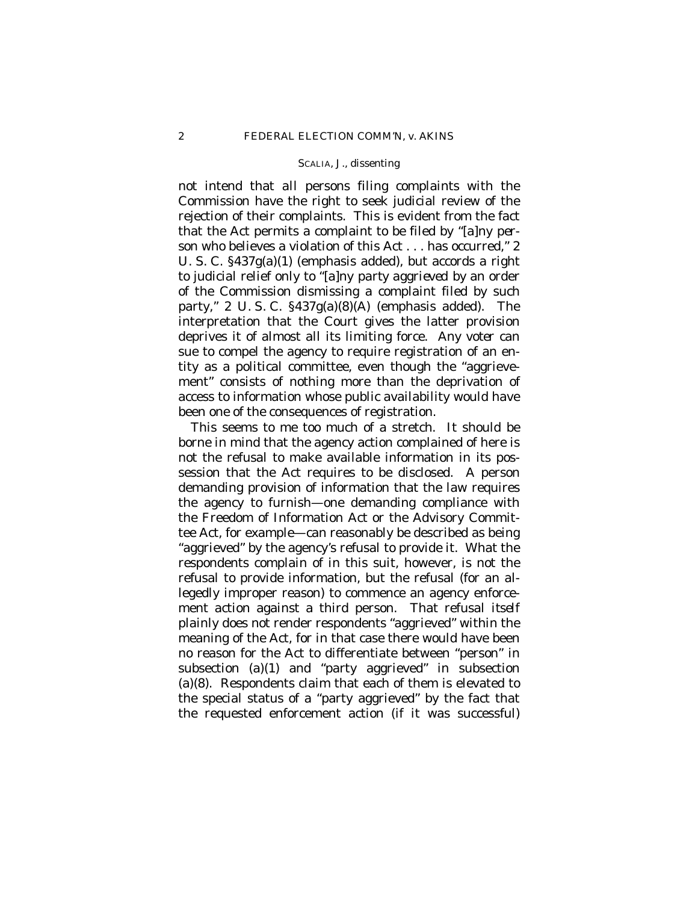not intend that *all* persons filing complaints with the Commission have the right to seek judicial review of the rejection of their complaints. This is evident from the fact that the Act permits a complaint to be filed by "[a]ny *person* who believes a violation of this Act . . . has occurred," 2 U. S. C. §437g(a)(1) (emphasis added), but accords a right to judicial relief only to "[a]ny *party aggrieved by* an order of the Commission dismissing a complaint filed by such party," 2 U. S. C. §437g(a)(8)(A) (emphasis added). The interpretation that the Court gives the latter provision deprives it of almost all its limiting force. *Any voter* can sue to compel the agency to require registration of an entity as a political committee, even though the "aggrievement" consists of nothing more than the deprivation of access to information whose public availability would have been one of the consequences of registration.

This seems to me too much of a stretch. It should be borne in mind that the agency action complained of here is not the refusal to make available information in its possession that the Act requires to be disclosed. A person demanding provision of information that the law requires the agency to furnish— one demanding compliance with the Freedom of Information Act or the Advisory Committee Act, for example— can reasonably be described as being "aggrieved" by the agency's refusal to provide it. What the respondents complain of in this suit, however, is not the refusal to provide information, but the refusal (for an allegedly improper reason) to commence an agency enforcement action against a third person. That refusal *itself* plainly does not render respondents "aggrieved" within the meaning of the Act, for in that case there would have been no reason for the Act to differentiate between "person" in subsection  $(a)(1)$  and "party aggrieved" in subsection (a)(8). Respondents claim that each of them is elevated to the special status of a "party aggrieved" by the fact that the requested enforcement action (if it was successful)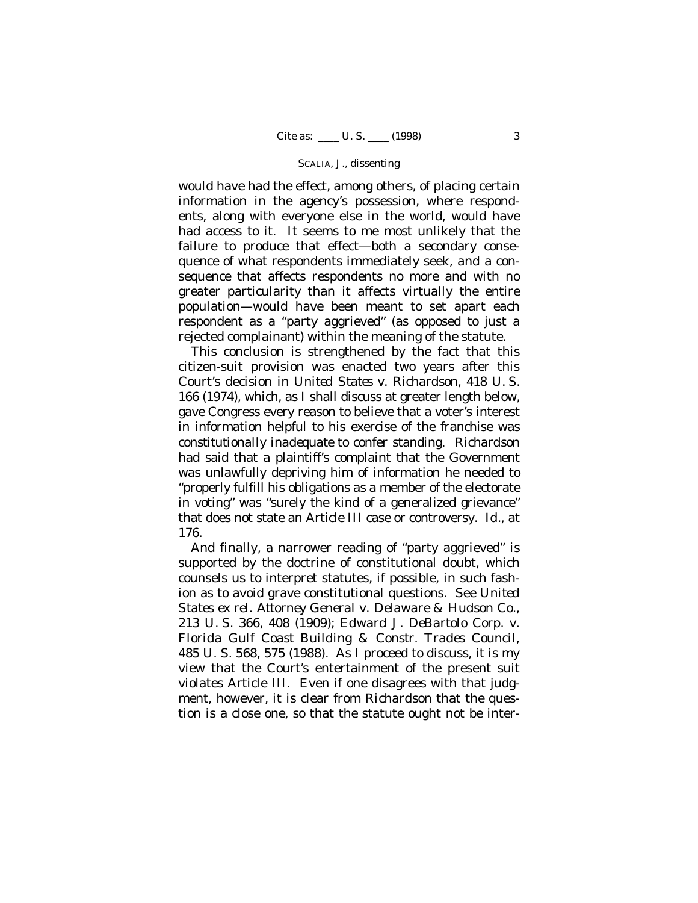would have had the effect, among others, of placing certain information in the agency's possession, where respondents, along with everyone else in the world, would have had access to it. It seems to me most unlikely that the failure to produce that effect— *both* a secondary consequence of what respondents immediately seek, *and* a consequence that affects respondents no more and with no greater particularity than it affects virtually the entire population— would have been meant to set apart each respondent as a "party aggrieved" (as opposed to just a rejected complainant) within the meaning of the statute.

This conclusion is strengthened by the fact that this citizen-suit provision was enacted two years after this Court's decision in *United States* v. *Richardson,* 418 U. S. 166 (1974), which, as I shall discuss at greater length below, gave Congress every reason to believe that a voter's interest in information helpful to his exercise of the franchise was *constitutionally inadequate* to confer standing. *Richardson* had said that a plaintiff's complaint that the Government was unlawfully depriving him of information he needed to "properly fulfill his obligations as a member of the electorate in voting" was "surely the kind of a generalized grievance" that does not state an Article III case or controversy. *Id.,* at 176.

And finally, a narrower reading of "party aggrieved" is supported by the doctrine of constitutional doubt, which counsels us to interpret statutes, if possible, in such fashion as to avoid grave constitutional questions. See *United States ex rel. Attorney General* v. *Delaware & Hudson Co.,* 213 U. S. 366, 408 (1909); *Edward J. DeBartolo Corp.* v. *Florida Gulf Coast Building & Constr. Trades Council,* 485 U. S. 568, 575 (1988). As I proceed to discuss, it is my view that the Court's entertainment of the present suit violates Article III. Even if one disagrees with that judgment, however, it is clear from *Richardson* that the question is a close one, so that the statute ought not be inter-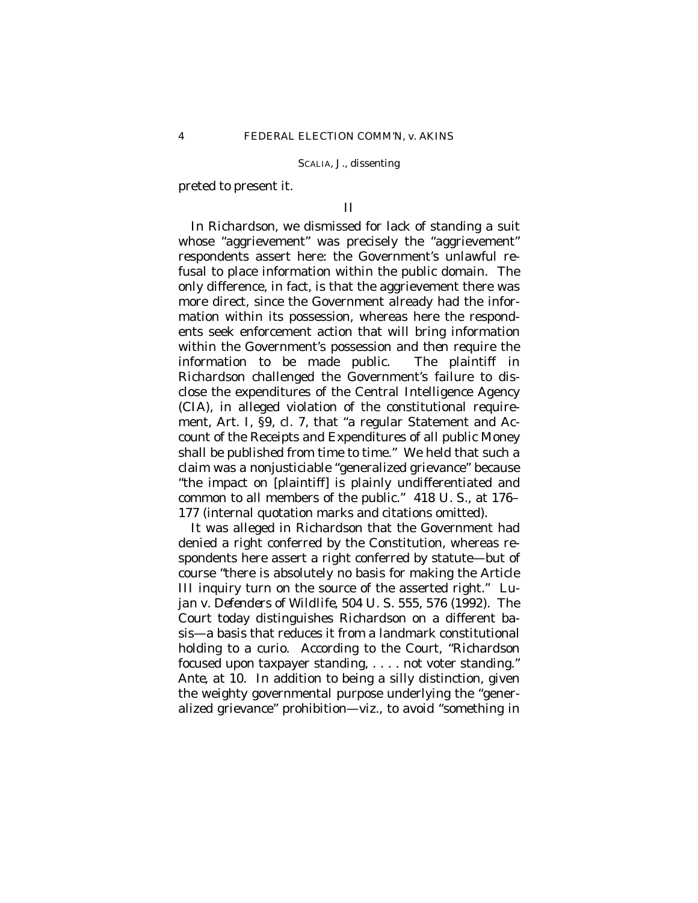preted to present it.

# II

In *Richardson*, we dismissed for lack of standing a suit whose "aggrievement" was precisely the "aggrievement" respondents assert here: the Government's unlawful refusal to place information within the public domain. The only difference, in fact, is that the aggrievement there was more direct, since the Government already had the information within its possession, whereas here the respondents seek enforcement action that will bring information within the Government's possession and *then* require the information to be made public. The plaintiff in *Richardson* challenged the Government's failure to disclose the expenditures of the Central Intelligence Agency (CIA), in alleged violation of the constitutional requirement, Art. I, §9, cl. 7, that "a regular Statement and Account of the Receipts and Expenditures of all public Money shall be published from time to time." We held that such a claim was a nonjusticiable "generalized grievance" because "the impact on [plaintiff] is plainly undifferentiated and common to all members of the public." 418 U. S., at 176– 177 (internal quotation marks and citations omitted).

It was alleged in *Richardson* that the Government had denied a right conferred by the Constitution, whereas respondents here assert a right conferred by statute— but of course "there is absolutely no basis for making the Article III inquiry turn on the source of the asserted right." *Lujan* v. *Defenders of Wildlife,* 504 U. S. 555, 576 (1992). The Court today distinguishes *Richardson* on a different basis— a basis that reduces it from a landmark constitutional holding to a curio. According to the Court, "*Richardson* focused upon taxpayer standing, . . . . not voter standing." *Ante*, at 10. In addition to being a silly distinction, given the weighty governmental purpose underlying the "generalized grievance" prohibition— viz., to avoid "something in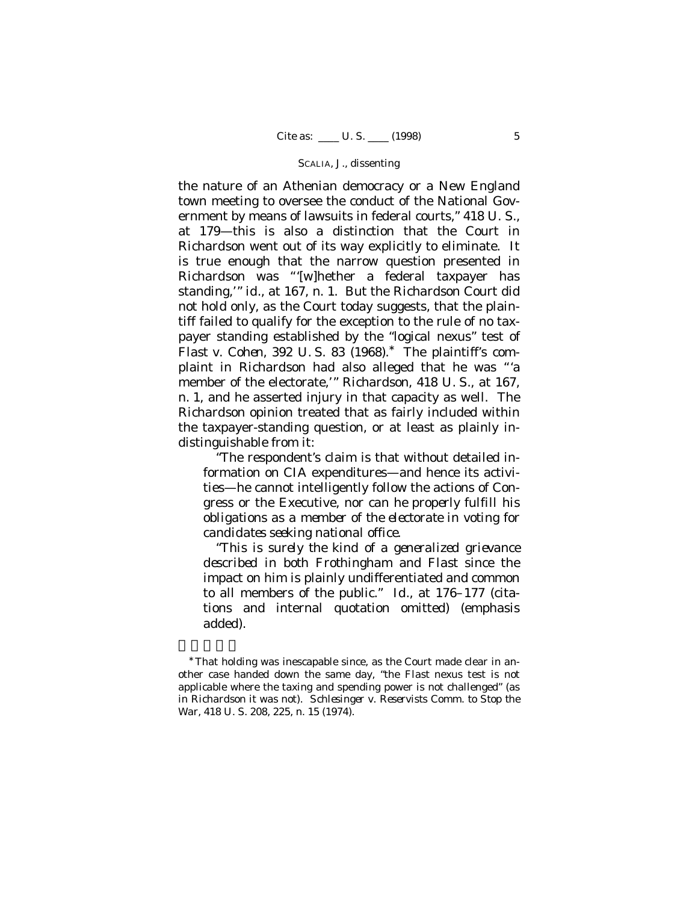the nature of an Athenian democracy or a New England town meeting to oversee the conduct of the National Government by means of lawsuits in federal courts," 418 U. S., at 179— this is also a distinction that the Court in *Richardson* went out of its way explicitly to eliminate. It is true enough that the narrow question presented in *Richardson* was "'[w]hether a federal taxpayer has standing,'" *id.*, at 167, n. 1. But the *Richardson* Court did not hold only, as the Court today suggests, that the plaintiff failed to qualify for the exception to the rule of no taxpayer standing established by the "logical nexus" test of *Flast* v. *Cohen,* 392 U. S. 83 (1968).<sup>∗</sup> The plaintiff's complaint in *Richardson* had also alleged that he was "'a member of the electorate,'" *Richardson,* 418 U. S., at 167, n. 1, and he asserted injury in that capacity as well. The *Richardson* opinion treated that as fairly included within the taxpayer-standing question, or at least as plainly indistinguishable from it:

"The respondent's claim is that without detailed information on CIA expenditures— and hence its activities— he cannot intelligently follow the actions of Congress or the Executive, *nor can he properly fulfill his obligations as a member of the electorate in voting for candidates seeking national office*.

"*This is surely the kind of a generalized grievance described in both Frothingham* and *Flast* since the impact on him is plainly undifferentiated and common to all members of the public." *Id*., at 176–177 (citations and internal quotation omitted) (emphasis added).

 $\overline{\phantom{a}}$ 

<sup>∗</sup> That holding was inescapable since, as the Court made clear in another case handed down the same day, "the *Flast* nexus test is not applicable where the taxing and spending power is not challenged" (as in *Richardson* it was not). *Schlesinger* v. *Reservists Comm. to Stop the War,* 418 U. S. 208, 225, n. 15 (1974).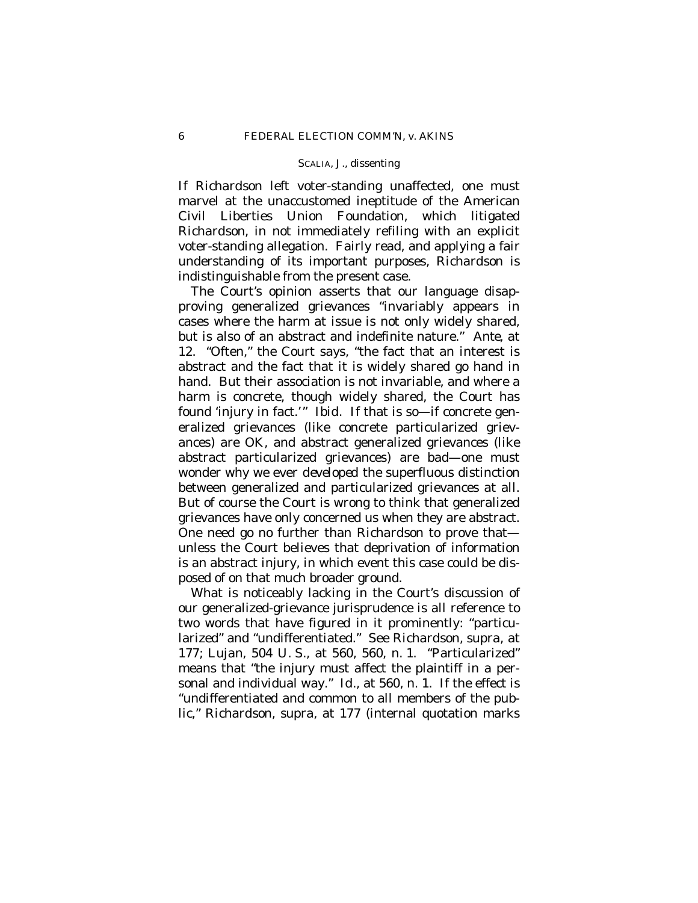If *Richardson* left voter-standing unaffected, one must marvel at the unaccustomed ineptitude of the American Civil Liberties Union Foundation, which litigated *Richardson*, in not immediately refiling with an explicit voter-standing allegation. Fairly read, and applying a fair understanding of its important purposes, *Richardson* is indistinguishable from the present case.

The Court's opinion asserts that our language disapproving generalized grievances "invariably appears in cases where the harm at issue is not only widely shared, but is also of an abstract and indefinite nature." *Ante*, at 12. "Often," the Court says, "the fact that an interest is abstract and the fact that it is widely shared go hand in hand. But their association is not invariable, and where a harm is concrete, though widely shared, the Court has found 'injury in fact.'" *Ibid*. If that is so- if concrete generalized grievances (like concrete particularized grievances) are OK, and abstract generalized grievances (like abstract particularized grievances) are bad— one must wonder why we ever *developed* the superfluous distinction between generalized and particularized grievances at all. But of course the Court is wrong to think that generalized grievances have only concerned us when they are abstract. One need go no further than *Richardson* to prove that unless the Court believes that deprivation of information is an abstract injury, in which event this case could be disposed of on that much broader ground.

What is noticeably lacking in the Court's discussion of our generalized-grievance jurisprudence is all reference to two words that have figured in it prominently: "particularized" and "undifferentiated." See *Richardson, supra,* at 177; *Lujan,* 504 U. S., at 560, 560, n. 1. "Particularized" means that "the injury must affect the plaintiff in a personal and individual way." *Id.,* at 560, n. 1. If the effect is "undifferentiated and common to all members of the public," *Richardson, supra,* at 177 (internal quotation marks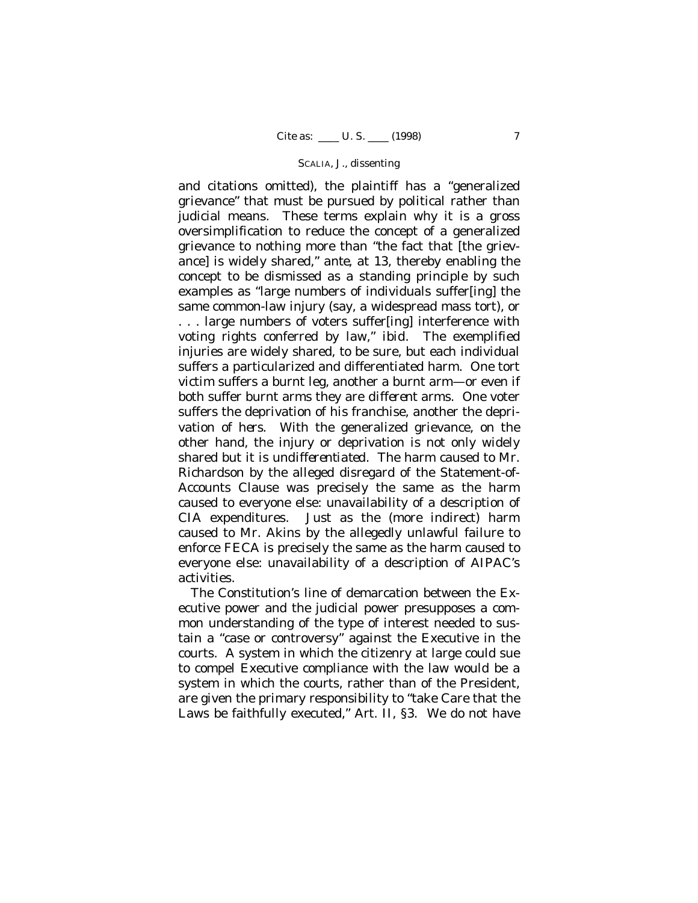and citations omitted), the plaintiff has a "generalized grievance" that must be pursued by political rather than judicial means. These terms explain why it is a gross oversimplification to reduce the concept of a generalized grievance to nothing more than "the fact that [the grievance] is widely shared," *ante*, at 13, thereby enabling the concept to be dismissed as a standing principle by such examples as "large numbers of individuals suffer[ing] the same common-law injury (say, a widespread mass tort), or . . . large numbers of voters suffer[ing] interference with voting rights conferred by law," *ibid*. The exemplified injuries are widely shared, to be sure, but each individual suffers a particularized and differentiated harm. One tort victim suffers a burnt leg, another a burnt arm— or even if both suffer burnt arms they are *different* arms. One voter suffers the deprivation of *his* franchise, another the deprivation of *hers*. With the generalized grievance, on the other hand, the injury or deprivation is not only widely shared but it is *undifferentiated*. The harm caused to Mr. Richardson by the alleged disregard of the Statement-of-Accounts Clause was precisely the same as the harm caused to everyone else: unavailability of a description of CIA expenditures. Just as the (more indirect) harm caused to Mr. Akins by the allegedly unlawful failure to enforce FECA is precisely the same as the harm caused to everyone else: unavailability of a description of AIPAC's activities.

The Constitution's line of demarcation between the Executive power and the judicial power presupposes a common understanding of the type of interest needed to sustain a "case or controversy" against the Executive in the courts. A system in which the citizenry at large could sue to compel Executive compliance with the law would be a system in which the courts, rather than of the President, are given the primary responsibility to "take Care that the Laws be faithfully executed," Art. II, §3. We do not have